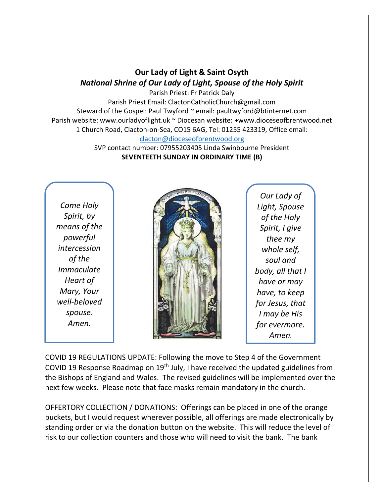## **Our Lady of Light & Saint Osyth** *National Shrine of Our Lady of Light, Spouse of the Holy Spirit*

Parish Priest: Fr Patrick Daly Parish Priest Email: ClactonCatholicChurch@gmail.com Steward of the Gospel: Paul Twyford ~ email: paultwyford@btinternet.com Parish website: www.ourladyoflight.uk ~ Diocesan website: +www.dioceseofbrentwood.net 1 Church Road, Clacton-on-Sea, CO15 6AG, Tel: 01255 423319, Office email: [clacton@dioceseofbrentwood.org](mailto:clacton@dioceseofbrentwood.org)

> SVP contact number: 07955203405 Linda Swinbourne President **SEVENTEETH SUNDAY IN ORDINARY TIME (B)**

*Come Holy Spirit, by means of the powerful intercession of the Immaculate Heart of Mary, Your well-beloved spouse. Amen.*



*Our Lady of Light, Spouse of the Holy Spirit, I give thee my whole self, soul and body, all that I have or may have, to keep for Jesus, that I may be His for evermore. Amen.*

COVID 19 REGULATIONS UPDATE: Following the move to Step 4 of the Government COVID 19 Response Roadmap on 19th July, I have received the updated guidelines from the Bishops of England and Wales. The revised guidelines will be implemented over the next few weeks. Please note that face masks remain mandatory in the church.

OFFERTORY COLLECTION / DONATIONS: Offerings can be placed in one of the orange buckets, but I would request wherever possible, all offerings are made electronically by standing order or via the donation button on the website. This will reduce the level of risk to our collection counters and those who will need to visit the bank. The bank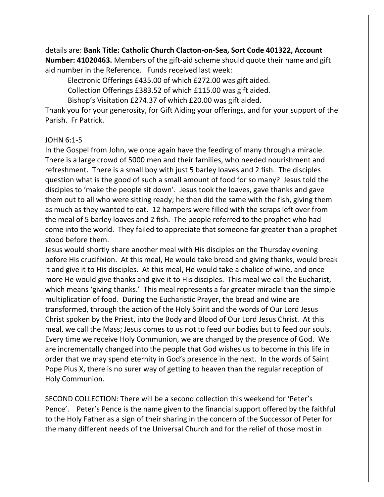details are: **Bank Title: Catholic Church Clacton-on-Sea, Sort Code 401322, Account Number: 41020463.** Members of the gift-aid scheme should quote their name and gift aid number in the Reference. Funds received last week:

Electronic Offerings £435.00 of which £272.00 was gift aided.

Collection Offerings £383.52 of which £115.00 was gift aided.

Bishop's Visitation £274.37 of which £20.00 was gift aided.

Thank you for your generosity, for Gift Aiding your offerings, and for your support of the Parish. Fr Patrick.

## JOHN 6:1-5

In the Gospel from John, we once again have the feeding of many through a miracle. There is a large crowd of 5000 men and their families, who needed nourishment and refreshment. There is a small boy with just 5 barley loaves and 2 fish. The disciples question what is the good of such a small amount of food for so many? Jesus told the disciples to 'make the people sit down'. Jesus took the loaves, gave thanks and gave them out to all who were sitting ready; he then did the same with the fish, giving them as much as they wanted to eat. 12 hampers were filled with the scraps left over from the meal of 5 barley loaves and 2 fish. The people referred to the prophet who had come into the world. They failed to appreciate that someone far greater than a prophet stood before them.

Jesus would shortly share another meal with His disciples on the Thursday evening before His crucifixion. At this meal, He would take bread and giving thanks, would break it and give it to His disciples. At this meal, He would take a chalice of wine, and once more He would give thanks and give it to His disciples. This meal we call the Eucharist, which means 'giving thanks.' This meal represents a far greater miracle than the simple multiplication of food. During the Eucharistic Prayer, the bread and wine are transformed, through the action of the Holy Spirit and the words of Our Lord Jesus Christ spoken by the Priest, into the Body and Blood of Our Lord Jesus Christ. At this meal, we call the Mass; Jesus comes to us not to feed our bodies but to feed our souls. Every time we receive Holy Communion, we are changed by the presence of God. We are incrementally changed into the people that God wishes us to become in this life in order that we may spend eternity in God's presence in the next. In the words of Saint Pope Pius X, there is no surer way of getting to heaven than the regular reception of Holy Communion.

SECOND COLLECTION: There will be a second collection this weekend for 'Peter's Pence'. Peter's Pence is the name given to the financial support offered by the faithful to the Holy Father as a sign of their sharing in the concern of the Successor of Peter for the many different needs of the Universal Church and for the relief of those most in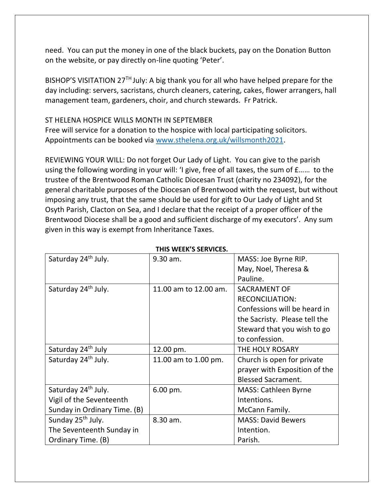need. You can put the money in one of the black buckets, pay on the Donation Button on the website, or pay directly on-line quoting 'Peter'.

BISHOP'S VISITATION 27<sup>TH</sup> July: A big thank you for all who have helped prepare for the day including: servers, sacristans, church cleaners, catering, cakes, flower arrangers, hall management team, gardeners, choir, and church stewards. Fr Patrick.

## ST HELENA HOSPICE WILLS MONTH IN SEPTEMBER

Free will service for a donation to the hospice with local participating solicitors. Appointments can be booked via [www.sthelena.org.uk/willsmonth2021.](http://www.sthelena.org.uk/willsmonth2021)

REVIEWING YOUR WILL: Do not forget Our Lady of Light. You can give to the parish using the following wording in your will: 'I give, free of all taxes, the sum of £…… to the trustee of the Brentwood Roman Catholic Diocesan Trust (charity no 234092), for the general charitable purposes of the Diocesan of Brentwood with the request, but without imposing any trust, that the same should be used for gift to Our Lady of Light and St Osyth Parish, Clacton on Sea, and I declare that the receipt of a proper officer of the Brentwood Diocese shall be a good and sufficient discharge of my executors'. Any sum given in this way is exempt from Inheritance Taxes.

| Saturday 24 <sup>th</sup> July. | 9.30 am.               | MASS: Joe Byrne RIP.          |
|---------------------------------|------------------------|-------------------------------|
|                                 |                        | May, Noel, Theresa &          |
|                                 |                        | Pauline.                      |
| Saturday 24 <sup>th</sup> July. | 11.00 am to 12.00 am.  | <b>SACRAMENT OF</b>           |
|                                 |                        | <b>RECONCILIATION:</b>        |
|                                 |                        | Confessions will be heard in  |
|                                 |                        | the Sacristy. Please tell the |
|                                 |                        | Steward that you wish to go   |
|                                 |                        | to confession.                |
| Saturday 24 <sup>th</sup> July  | 12.00 pm.              | THE HOLY ROSARY               |
| Saturday 24 <sup>th</sup> July. | 11.00 am to 1.00 pm.   | Church is open for private    |
|                                 |                        | prayer with Exposition of the |
|                                 |                        | <b>Blessed Sacrament.</b>     |
| Saturday 24th July.             | $6.00 \,\mathrm{pm}$ . | <b>MASS: Cathleen Byrne</b>   |
| Vigil of the Seventeenth        |                        | Intentions.                   |
| Sunday in Ordinary Time. (B)    |                        | McCann Family.                |
| Sunday 25 <sup>th</sup> July.   | 8.30 am.               | <b>MASS: David Bewers</b>     |
| The Seventeenth Sunday in       |                        | Intention.                    |
| Ordinary Time. (B)              |                        | Parish.                       |

## **THIS WEEK'S SERVICES.**